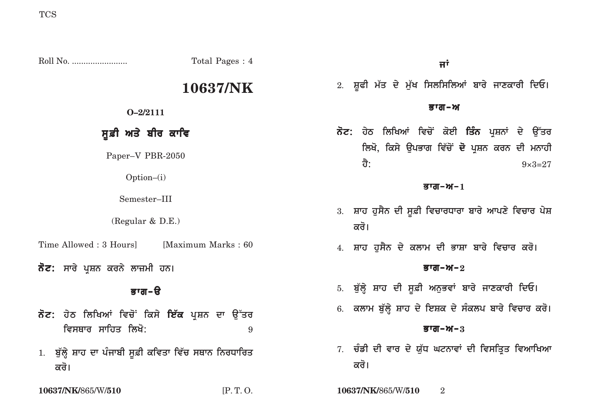Roll No. ........................ Total Pages : 4 **10637/NK O–2/2111** ਸੁਫ਼ੀ **ਅਤੇ** ਬੀਰ ਕਾਵਿ Paper–V PBR-2050 Option–(i) Semester–III (Regular & D.E.) Time Allowed : 3 Hours [Maximum Marks : 60] **ਨੋਟ: ਸਾ**ਰੇ ਪਸ਼ਨ ਕਰਨੇ ਲਾਜ਼ਮੀ ਹਨ। <u>ਭਾਗ-ੳ</u> **ਨੋਟ:** ਹੇਠ ਲਿਖਿਆਂ ਵਿਚੋਂ ਕਿਸੇ **ਇੱਕ** ਪ੍ਰਸ਼ਨ ਦਾ ਉੱਤਰ **ivsQwr swihq ilKo:** <sup>9</sup> 1. ਬੁੱਲ੍ਹੇ ਸ਼ਾਹ ਦਾ ਪੰਜਾਬੀ ਸੂਫ਼ੀ ਕਵਿਤਾ ਵਿੱਚ ਸਥਾਨ ਨਿਰਧਾਰਿਤ <u>ਕ</u>ਰੋ।  $\overline{H}^{\dagger}$ 2. ਸ਼ੂਫੀ ਮੱਤ ਦੇ ਮੁੱਖ ਸਿਲਸਿਲਿਆਂ ਬਾਰੇ ਜਾਣਕਾਰੀ ਦਿਓ। <u>ਭਾਗ–ਅ</u> ਨੋਟ: ਹੇਠ ਲਿਖਿਆਂ ਵਿਚੋਂ ਕੋਈ **ਤਿੰਨ** ਪਸ਼ਨਾਂ ਦੇ ਉੱਤਰ ਲਿਖੋ, ਕਿਸੇ ਉਪਭਾਗ ਵਿੱਚੋਂ **ਦੋ** ਪ੍ਰਸ਼ਨ ਕਰਨ ਦੀ ਮਨਾਹੀ  $\frac{1}{2}$ : 9×3=27  $\overline{g}$ ਯ $\overline{d}$ – $\gamma$ – $1$ 3. ਸ਼ਾਹ ਹੁਸੈਨ ਦੀ ਸੁਫ਼ੀ ਵਿਚਾਰਧਾਰਾ ਬਾਰੇ ਆਪਣੇ ਵਿਚਾਰ ਪੇ**ਸ਼** <u>ਕਰੋ।</u> 4. ਸ਼ਾਹ ਹੁਸੈਨ ਦੇ ਕਲਾਮ ਦੀ ਭਾਸ਼ਾ ਬਾਰੇ ਵਿਚਾਰ ਕਰੋ**।**  $\overline{g}$ ਯ $\overline{d}$ – $\mathcal{M}-2$ 5. ਬੁੱਲ੍ਹੇ ਸ਼ਾਹ ਦੀ ਸੂਫ਼ੀ ਅਨੁਭਵਾਂ ਬਾਰੇ ਜਾਣਕਾਰੀ ਦਿਓ। 6. ਕਲਾਮ ਬੁੱਲ੍ਹੇ ਸ਼ਾਹ ਦੇ ਇਸ਼ਕ ਦੇ ਸੰਕਲਪ ਬਾਰੇ ਵਿਚਾਰ ਕਰੋ।  $B = 3$ 7. ਚੰਡੀ ਦੀ ਵਾਰ ਦੇ ਯੱਧ ਘਟਨਾਵਾਂ ਦੀ ਵਿਸਤਿਤ ਵਿਆਖਿਆ <u>ਕ</u>ਰੋ। **10637/NK/**865/W/**510** [P. T. O. **10637/NK/**865/W/**510** 2